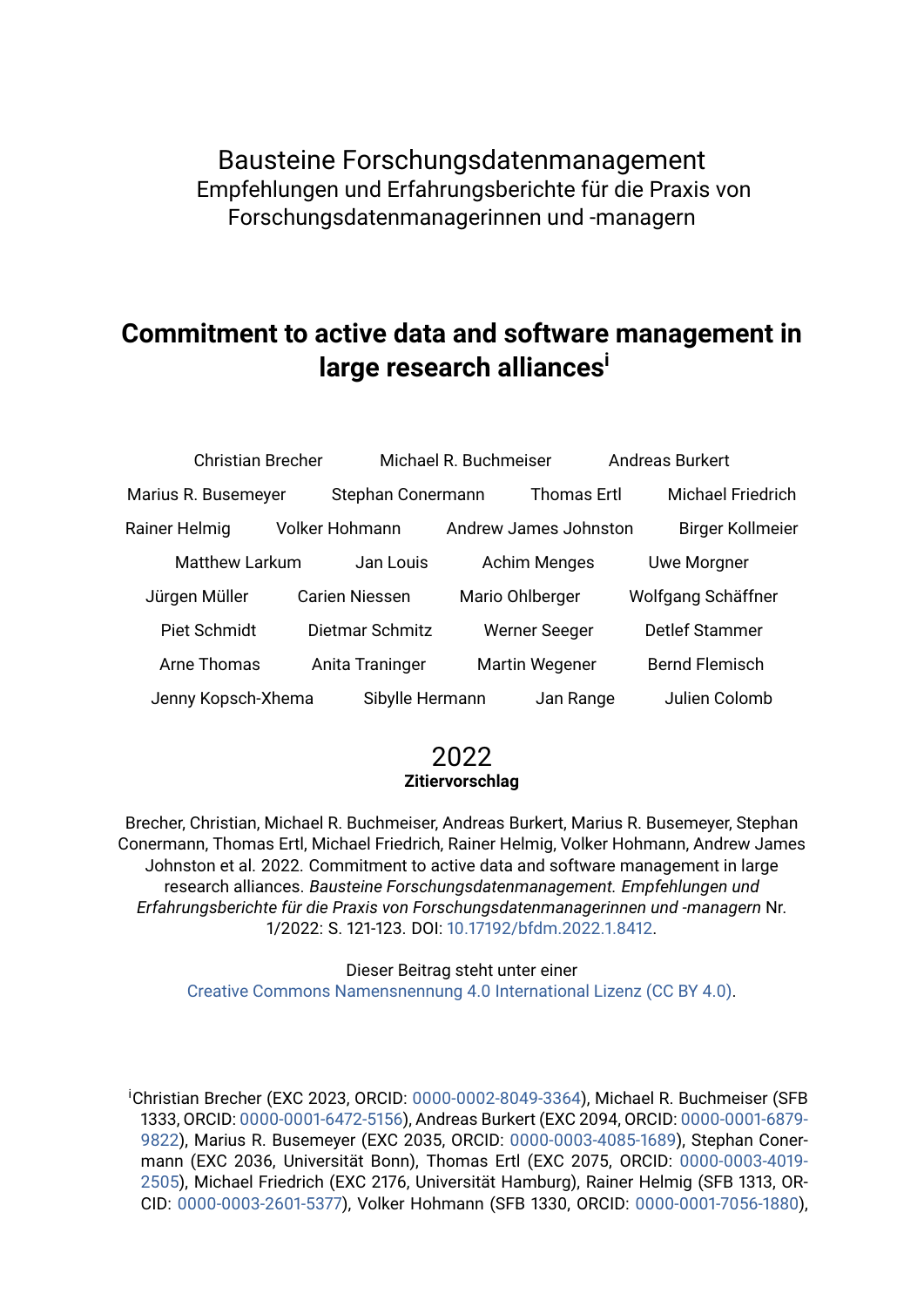Bausteine Forschungsdatenmanagement Empfehlungen und Erfahrungsberichte für die Praxis von Forschungsdatenmanagerinnen und -managern

# **Commitment to active data and software management in large research alliances<sup>i</sup>**

| <b>Christian Brecher</b>              |                       | Michael R. Buchmeiser |                       |                    | <b>Andreas Burkert</b>   |
|---------------------------------------|-----------------------|-----------------------|-----------------------|--------------------|--------------------------|
| Marius R. Busemeyer                   |                       | Stephan Conermann     |                       | <b>Thomas Ertl</b> | <b>Michael Friedrich</b> |
| Rainer Helmig                         | Volker Hohmann        |                       | Andrew James Johnston |                    | <b>Birger Kollmeier</b>  |
| <b>Matthew Larkum</b><br>Jan Louis    |                       | <b>Achim Menges</b>   |                       | <b>Uwe Morgner</b> |                          |
| Jürgen Müller                         | <b>Carien Niessen</b> |                       | Mario Ohlberger       |                    | Wolfgang Schäffner       |
| Piet Schmidt                          | Dietmar Schmitz       |                       | <b>Werner Seeger</b>  |                    | <b>Detlef Stammer</b>    |
| Arne Thomas                           | Anita Traninger       |                       | <b>Martin Wegener</b> |                    | <b>Bernd Flemisch</b>    |
| Sibylle Hermann<br>Jenny Kopsch-Xhema |                       |                       | Jan Range             | Julien Colomb      |                          |

#### 2022 **Zitiervorschlag**

Brecher, Christian, Michael R. Buchmeiser, Andreas Burkert, Marius R. Busemeyer, Stephan Conermann, Thomas Ertl, Michael Friedrich, Rainer Helmig, Volker Hohmann, Andrew James Johnston et al. 2022. Commitment to active data and software management in large research alliances. *Bausteine Forschungsdatenmanagement. Empfehlungen und Erfahrungsberichte für die Praxis von Forschungsdatenmanagerinnen und -managern* Nr. 1/2022: S. 121-123. DOI: [10.17192/bfdm.2022.1.8412.](http://doi.org/10.17192/bfdm.2022.1.8412)

> Dieser Beitrag steht unter einer [Creative Commons Namensnennung 4.0 International Lizenz \(CC BY 4.0\).](https://creativecommons.org/licenses/by/4.0/deed.de)

<sup>i</sup>Christian Brecher (EXC 2023, ORCID: [0000-0002-8049-3364\)](https://orcid.org/0000-0002-8049-3364), Michael R. Buchmeiser (SFB 1333, ORCID: [0000-0001-6472-5156\)](https://orcid.org/0000-0001-6472-5156), Andreas Burkert (EXC 2094, ORCID: [0000-0001-6879-](https://orcid.org/0000-0001-6879-9822) [9822\)](https://orcid.org/0000-0001-6879-9822), Marius R. Busemeyer (EXC 2035, ORCID: [0000-0003-4085-1689\)](https://orcid.org/0000-0003-4085-1689), Stephan Conermann (EXC 2036, Universität Bonn), Thomas Ertl (EXC 2075, ORCID: [0000-0003-4019-](https://orcid.org/0000-0003-4019-2505) [2505\)](https://orcid.org/0000-0003-4019-2505), Michael Friedrich (EXC 2176, Universität Hamburg), Rainer Helmig (SFB 1313, OR-CID: [0000-0003-2601-5377\)](https://orcid.org/0000-0003-2601-5377), Volker Hohmann (SFB 1330, ORCID: [0000-0001-7056-1880\)](https://orcid.org/0000-0001-7056-1880),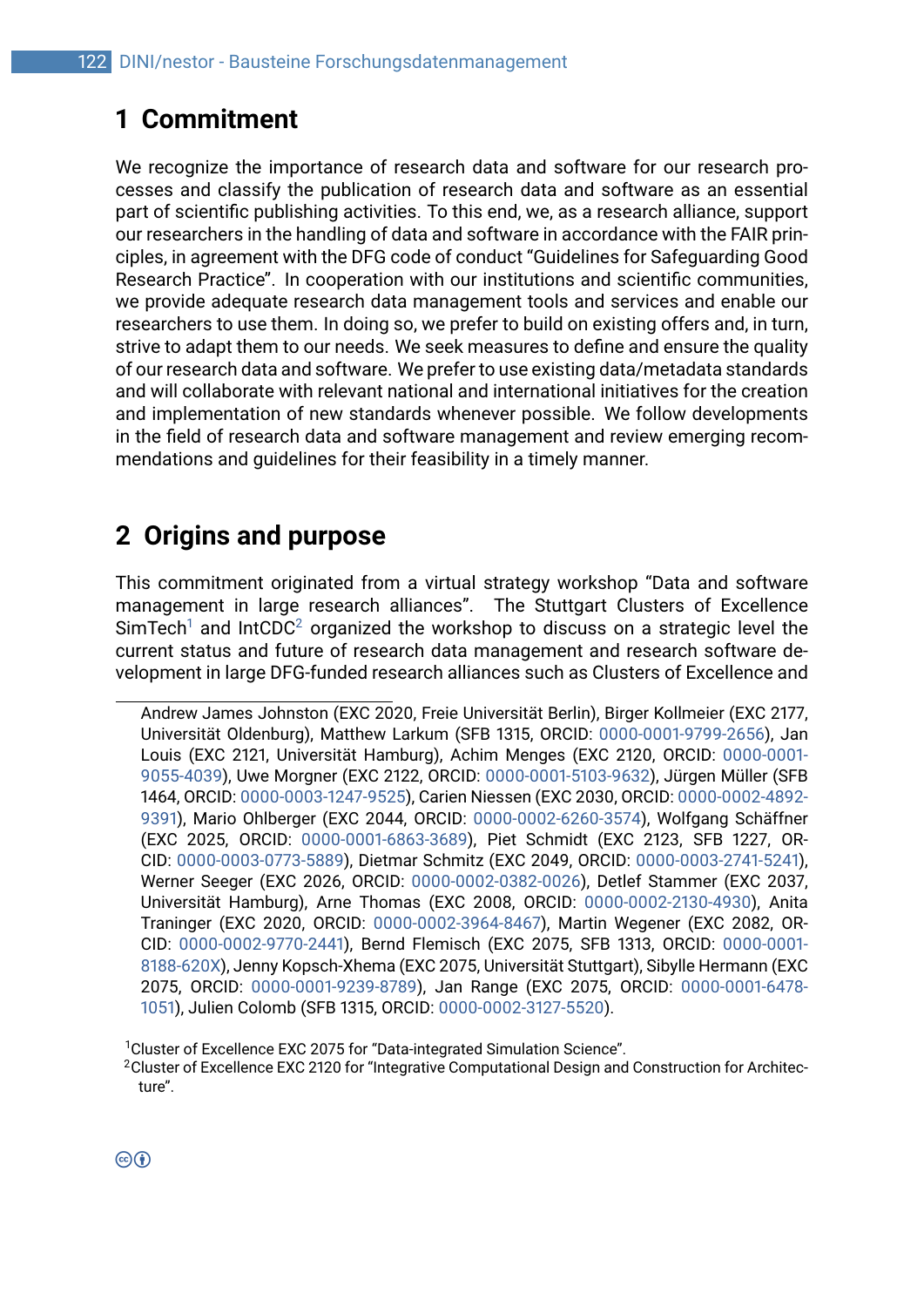# **1 Commitment**

We recognize the importance of research data and software for our research processes and classify the publication of research data and software as an essential part of scientific publishing activities. To this end, we, as a research alliance, support our researchers in the handling of data and software in accordance with the FAIR principles, in agreement with the DFG code of conduct "Guidelines for Safeguarding Good Research Practice". In cooperation with our institutions and scientific communities, we provide adequate research data management tools and services and enable our researchers to use them. In doing so, we prefer to build on existing offers and, in turn, strive to adapt them to our needs. We seek measures to define and ensure the quality of our research data and software. We prefer to use existing data/metadata standards and will collaborate with relevant national and international initiatives for the creation and implementation of new standards whenever possible. We follow developments in the field of research data and software management and review emerging recommendations and guidelines for their feasibility in a timely manner.

# **2 Origins and purpose**

This commitment originated from a virtual strategy workshop "Data and software management in large research alliances". The Stuttgart Clusters of Excellence  $SimTechn<sup>1</sup>$  $SimTechn<sup>1</sup>$  $SimTechn<sup>1</sup>$  and IntCDC<sup>[2](#page-1-1)</sup> organized the workshop to discuss on a strategic level the current status and future of research data management and research software development in large DFG-funded research alliances such as Clusters of Excellence and

Andrew James Johnston (EXC 2020, Freie Universität Berlin), Birger Kollmeier (EXC 2177, Universität Oldenburg), Matthew Larkum (SFB 1315, ORCID: [0000-0001-9799-2656\)](https://orcid.org/0000-0001-9799-2656), Jan Louis (EXC 2121, Universität Hamburg), Achim Menges (EXC 2120, ORCID: [0000-0001-](https://orcid.org/0000-0001-9055-4039) [9055-4039\)](https://orcid.org/0000-0001-9055-4039), Uwe Morgner (EXC 2122, ORCID: [0000-0001-5103-9632\)](https://orcid.org/0000-0001-5103-9632), Jürgen Müller (SFB 1464, ORCID: [0000-0003-1247-9525\)](https://orcid.org/0000-0003-1247-9525), Carien Niessen (EXC 2030, ORCID: [0000-0002-4892-](https://orcid.org/0000-0002-4892-9391) [9391\)](https://orcid.org/0000-0002-4892-9391), Mario Ohlberger (EXC 2044, ORCID: [0000-0002-6260-3574\)](https://orcid.org/0000-0002-6260-3574), Wolfgang Schäffner (EXC 2025, ORCID: [0000-0001-6863-3689\)](https://orcid.org/0000-0001-6863-3689), Piet Schmidt (EXC 2123, SFB 1227, OR-CID: [0000-0003-0773-5889\)](https://orcid.org/0000-0003-0773-5889), Dietmar Schmitz (EXC 2049, ORCID: [0000-0003-2741-5241\)](https://orcid.org/0000-0003-2741-5241), Werner Seeger (EXC 2026, ORCID: [0000-0002-0382-0026\)](https://orcid.org/0000-0002-0382-0026), Detlef Stammer (EXC 2037, Universität Hamburg), Arne Thomas (EXC 2008, ORCID: [0000-0002-2130-4930\)](https://orcid.org/0000-0002-2130-4930), Anita Traninger (EXC 2020, ORCID: [0000-0002-3964-8467\)](https://orcid.org/0000-0002-3964-8467), Martin Wegener (EXC 2082, OR-CID: [0000-0002-9770-2441\)](https://orcid.org/0000-0002-9770-2441), Bernd Flemisch (EXC 2075, SFB 1313, ORCID: [0000-0001-](https://orcid.org/0000-0001-8188-620X) [8188-620X\)](https://orcid.org/0000-0001-8188-620X), Jenny Kopsch-Xhema (EXC 2075, Universität Stuttgart), Sibylle Hermann (EXC 2075, ORCID: [0000-0001-9239-8789\)](https://orcid.org/0000-0001-9239-8789), Jan Range (EXC 2075, ORCID: [0000-0001-6478-](https://orcid.org/0000-0001-6478-1051) [1051\)](https://orcid.org/0000-0001-6478-1051), Julien Colomb (SFB 1315, ORCID: [0000-0002-3127-5520\)](https://orcid.org/0000-0002-3127-5520).

<span id="page-1-0"></span><sup>&</sup>lt;sup>1</sup>Cluster of Excellence EXC 2075 for "Data-integrated Simulation Science".

<span id="page-1-1"></span><sup>&</sup>lt;sup>2</sup>Cluster of Excellence EXC 2120 for "Integrative Computational Design and Construction for Architecture".